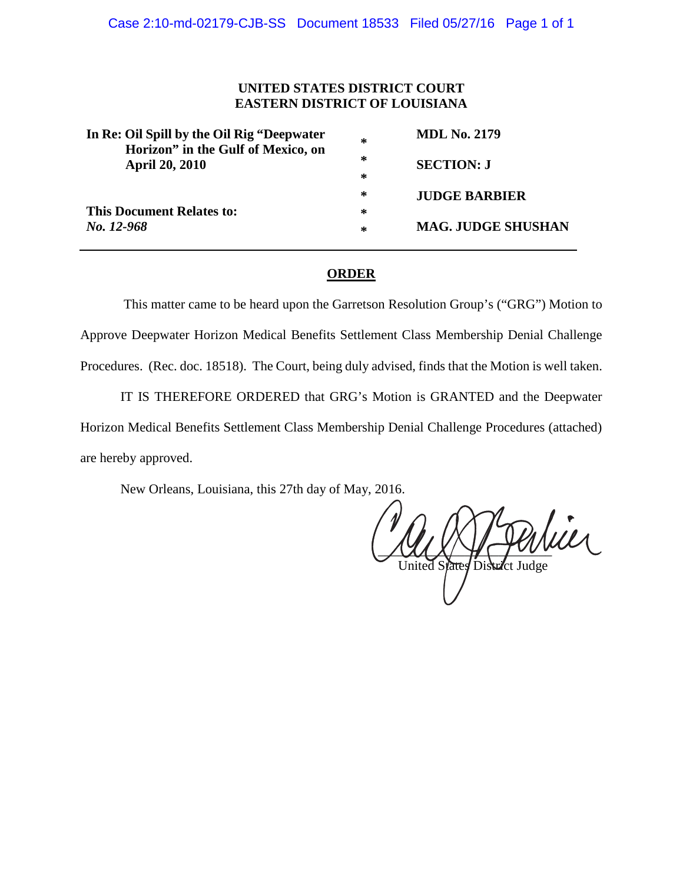# **UNITED STATES DISTRICT COURT EASTERN DISTRICT OF LOUISIANA**

| In Re: Oil Spill by the Oil Rig "Deepwater"<br>Horizon" in the Gulf of Mexico, on<br><b>April 20, 2010</b> | ∗ | <b>MDL No. 2179</b>       |
|------------------------------------------------------------------------------------------------------------|---|---------------------------|
|                                                                                                            | ∗ | <b>SECTION: J</b>         |
|                                                                                                            | ∗ |                           |
|                                                                                                            | ∗ | <b>JUDGE BARBIER</b>      |
| <b>This Document Relates to:</b>                                                                           | ∗ |                           |
| No. 12-968                                                                                                 | ∗ | <b>MAG. JUDGE SHUSHAN</b> |

# **ORDER**

This matter came to be heard upon the Garretson Resolution Group's ("GRG") Motion to Approve Deepwater Horizon Medical Benefits Settlement Class Membership Denial Challenge Procedures. (Rec. doc. 18518). The Court, being duly advised, finds that the Motion is well taken.

IT IS THEREFORE ORDERED that GRG's Motion is GRANTED and the Deepwater Horizon Medical Benefits Settlement Class Membership Denial Challenge Procedures (attached) are hereby approved.

New Orleans, Louisiana, this 27th day of May, 2016.

 $\frac{1}{2}$ United States District Judge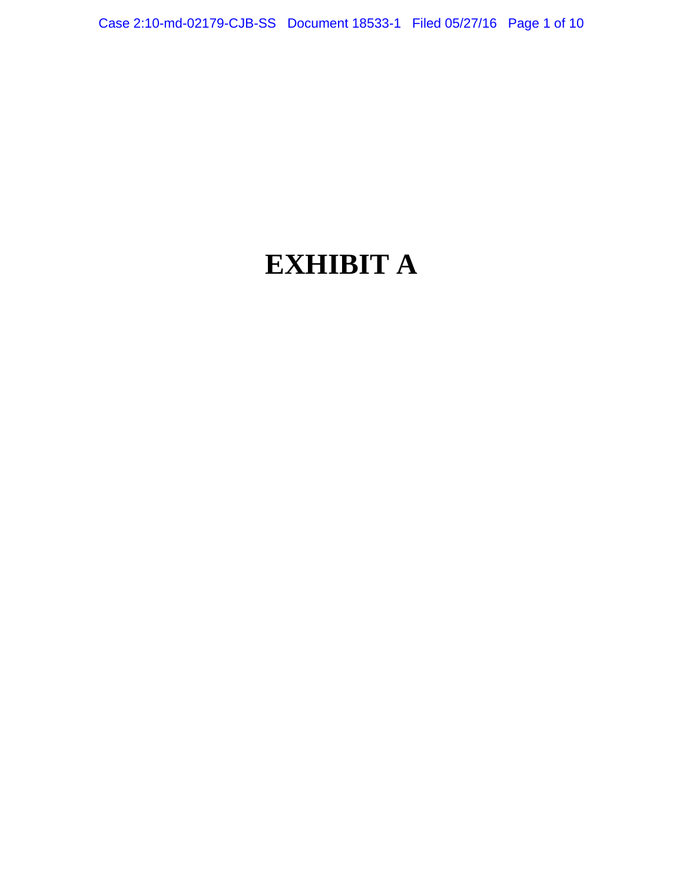# **EXHIBIT A**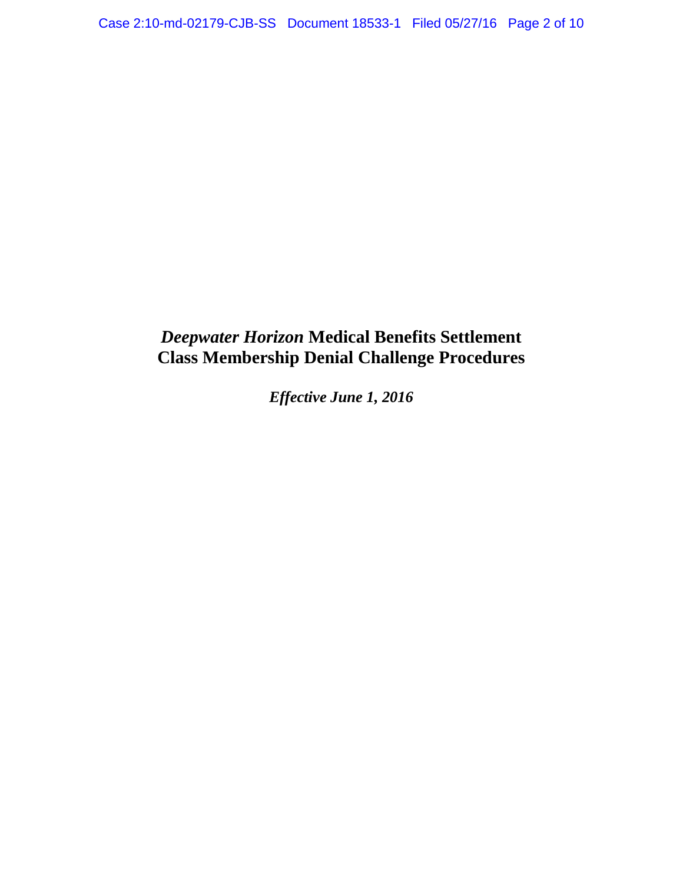# *Deepwater Horizon* **Medical Benefits Settlement Class Membership Denial Challenge Procedures**

*Effective June 1, 2016*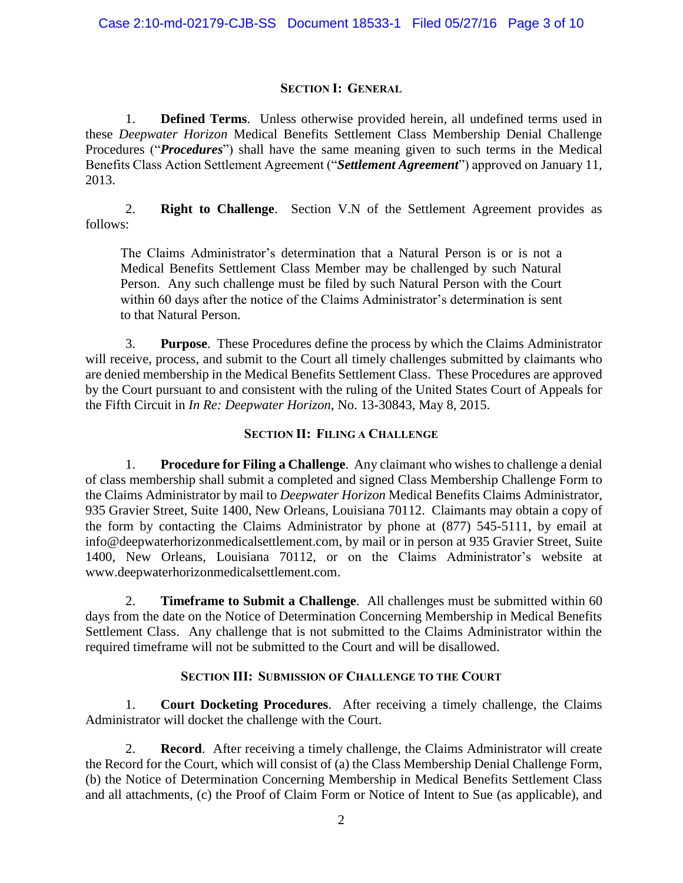# **SECTION I: GENERAL**

1. **Defined Terms**. Unless otherwise provided herein, all undefined terms used in these *Deepwater Horizon* Medical Benefits Settlement Class Membership Denial Challenge Procedures ("*Procedures*") shall have the same meaning given to such terms in the Medical Benefits Class Action Settlement Agreement ("*Settlement Agreement*") approved on January 11, 2013.

2. **Right to Challenge**. Section V.N of the Settlement Agreement provides as follows:

The Claims Administrator's determination that a Natural Person is or is not a Medical Benefits Settlement Class Member may be challenged by such Natural Person. Any such challenge must be filed by such Natural Person with the Court within 60 days after the notice of the Claims Administrator's determination is sent to that Natural Person.

3. **Purpose**. These Procedures define the process by which the Claims Administrator will receive, process, and submit to the Court all timely challenges submitted by claimants who are denied membership in the Medical Benefits Settlement Class. These Procedures are approved by the Court pursuant to and consistent with the ruling of the United States Court of Appeals for the Fifth Circuit in *In Re: Deepwater Horizon*, No. 13-30843, May 8, 2015.

# **SECTION II: FILING A CHALLENGE**

1. **Procedure for Filing a Challenge**. Any claimant who wishes to challenge a denial of class membership shall submit a completed and signed Class Membership Challenge Form to the Claims Administrator by mail to *Deepwater Horizon* Medical Benefits Claims Administrator, 935 Gravier Street, Suite 1400, New Orleans, Louisiana 70112. Claimants may obtain a copy of the form by contacting the Claims Administrator by phone at (877) 545-5111, by email at info@deepwaterhorizonmedicalsettlement.com, by mail or in person at 935 Gravier Street, Suite 1400, New Orleans, Louisiana 70112, or on the Claims Administrator's website at www.deepwaterhorizonmedicalsettlement.com.

2. **Timeframe to Submit a Challenge**. All challenges must be submitted within 60 days from the date on the Notice of Determination Concerning Membership in Medical Benefits Settlement Class. Any challenge that is not submitted to the Claims Administrator within the required timeframe will not be submitted to the Court and will be disallowed.

# **SECTION III: SUBMISSION OF CHALLENGE TO THE COURT**

1. **Court Docketing Procedures**. After receiving a timely challenge, the Claims Administrator will docket the challenge with the Court.

2. **Record**. After receiving a timely challenge, the Claims Administrator will create the Record for the Court, which will consist of (a) the Class Membership Denial Challenge Form, (b) the Notice of Determination Concerning Membership in Medical Benefits Settlement Class and all attachments, (c) the Proof of Claim Form or Notice of Intent to Sue (as applicable), and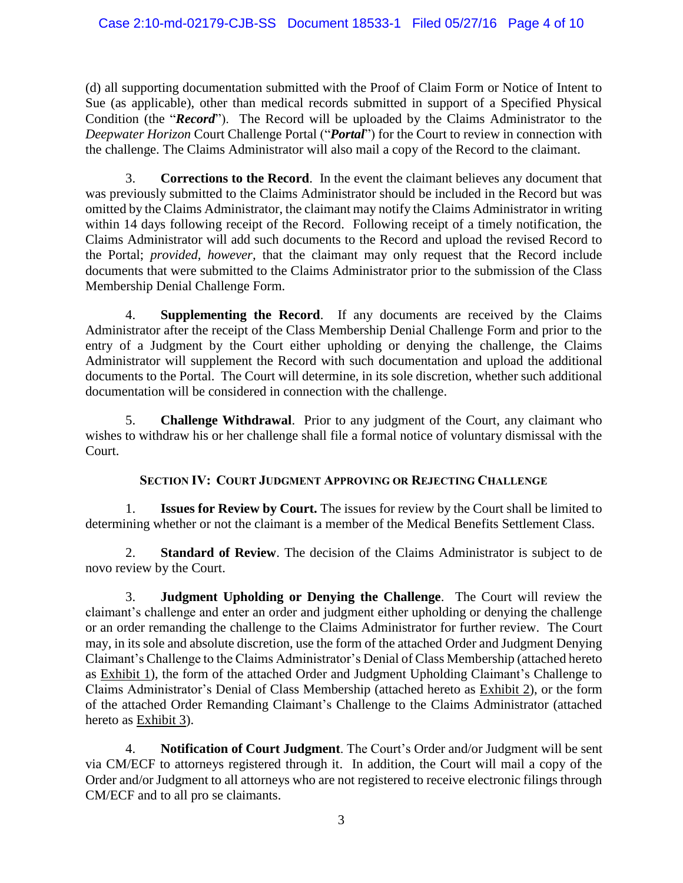(d) all supporting documentation submitted with the Proof of Claim Form or Notice of Intent to Sue (as applicable), other than medical records submitted in support of a Specified Physical Condition (the "*Record*"). The Record will be uploaded by the Claims Administrator to the *Deepwater Horizon* Court Challenge Portal ("*Portal*") for the Court to review in connection with the challenge. The Claims Administrator will also mail a copy of the Record to the claimant.

3. **Corrections to the Record**. In the event the claimant believes any document that was previously submitted to the Claims Administrator should be included in the Record but was omitted by the Claims Administrator, the claimant may notify the Claims Administrator in writing within 14 days following receipt of the Record. Following receipt of a timely notification, the Claims Administrator will add such documents to the Record and upload the revised Record to the Portal; *provided, however,* that the claimant may only request that the Record include documents that were submitted to the Claims Administrator prior to the submission of the Class Membership Denial Challenge Form.

4. **Supplementing the Record**. If any documents are received by the Claims Administrator after the receipt of the Class Membership Denial Challenge Form and prior to the entry of a Judgment by the Court either upholding or denying the challenge, the Claims Administrator will supplement the Record with such documentation and upload the additional documents to the Portal. The Court will determine, in its sole discretion, whether such additional documentation will be considered in connection with the challenge.

**Challenge Withdrawal**. Prior to any judgment of the Court, any claimant who wishes to withdraw his or her challenge shall file a formal notice of voluntary dismissal with the Court.

# **SECTION IV: COURT JUDGMENT APPROVING OR REJECTING CHALLENGE**

1. **Issues for Review by Court.** The issues for review by the Court shall be limited to determining whether or not the claimant is a member of the Medical Benefits Settlement Class.

2. **Standard of Review**. The decision of the Claims Administrator is subject to de novo review by the Court.

3. **Judgment Upholding or Denying the Challenge**. The Court will review the claimant's challenge and enter an order and judgment either upholding or denying the challenge or an order remanding the challenge to the Claims Administrator for further review. The Court may, in its sole and absolute discretion, use the form of the attached Order and Judgment Denying Claimant's Challenge to the Claims Administrator's Denial of Class Membership (attached hereto as Exhibit 1), the form of the attached Order and Judgment Upholding Claimant's Challenge to Claims Administrator's Denial of Class Membership (attached hereto as Exhibit 2), or the form of the attached Order Remanding Claimant's Challenge to the Claims Administrator (attached hereto as Exhibit 3).

4. **Notification of Court Judgment**. The Court's Order and/or Judgment will be sent via CM/ECF to attorneys registered through it. In addition, the Court will mail a copy of the Order and/or Judgment to all attorneys who are not registered to receive electronic filings through CM/ECF and to all pro se claimants.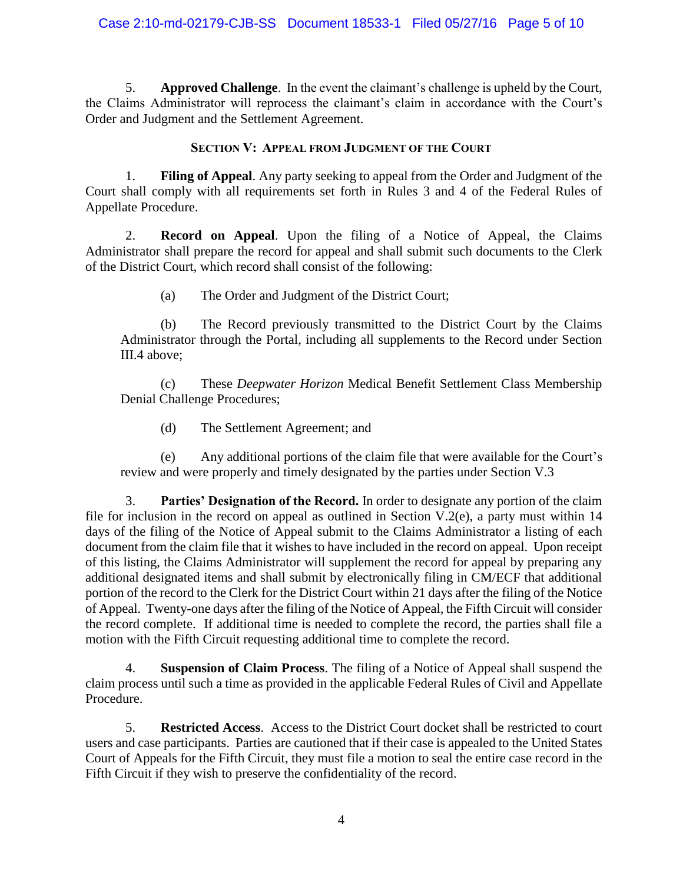5. **Approved Challenge**. In the event the claimant's challenge is upheld by the Court, the Claims Administrator will reprocess the claimant's claim in accordance with the Court's Order and Judgment and the Settlement Agreement.

# **SECTION V: APPEAL FROM JUDGMENT OF THE COURT**

1. **Filing of Appeal**. Any party seeking to appeal from the Order and Judgment of the Court shall comply with all requirements set forth in Rules 3 and 4 of the Federal Rules of Appellate Procedure.

2. **Record on Appeal**. Upon the filing of a Notice of Appeal, the Claims Administrator shall prepare the record for appeal and shall submit such documents to the Clerk of the District Court, which record shall consist of the following:

(a) The Order and Judgment of the District Court;

(b) The Record previously transmitted to the District Court by the Claims Administrator through the Portal, including all supplements to the Record under Section III.4 above;

(c) These *Deepwater Horizon* Medical Benefit Settlement Class Membership Denial Challenge Procedures;

(d) The Settlement Agreement; and

(e) Any additional portions of the claim file that were available for the Court's review and were properly and timely designated by the parties under Section V.3

3. **Parties' Designation of the Record.** In order to designate any portion of the claim file for inclusion in the record on appeal as outlined in Section V.2(e), a party must within 14 days of the filing of the Notice of Appeal submit to the Claims Administrator a listing of each document from the claim file that it wishes to have included in the record on appeal. Upon receipt of this listing, the Claims Administrator will supplement the record for appeal by preparing any additional designated items and shall submit by electronically filing in CM/ECF that additional portion of the record to the Clerk for the District Court within 21 days after the filing of the Notice of Appeal. Twenty-one days after the filing of the Notice of Appeal, the Fifth Circuit will consider the record complete. If additional time is needed to complete the record, the parties shall file a motion with the Fifth Circuit requesting additional time to complete the record.

4. **Suspension of Claim Process**. The filing of a Notice of Appeal shall suspend the claim process until such a time as provided in the applicable Federal Rules of Civil and Appellate Procedure.

5. **Restricted Access**. Access to the District Court docket shall be restricted to court users and case participants. Parties are cautioned that if their case is appealed to the United States Court of Appeals for the Fifth Circuit, they must file a motion to seal the entire case record in the Fifth Circuit if they wish to preserve the confidentiality of the record.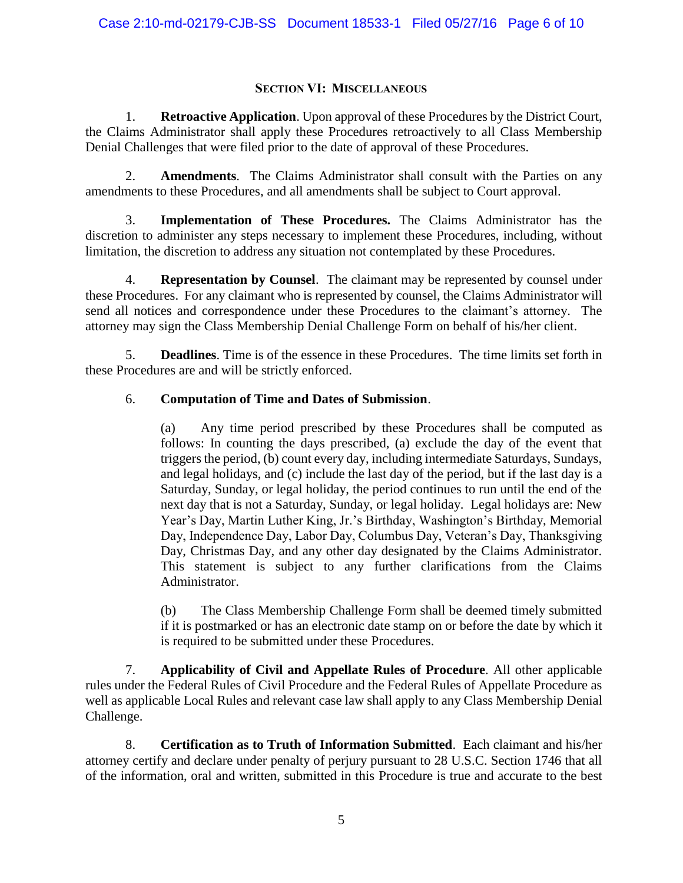# **SECTION VI: MISCELLANEOUS**

1. **Retroactive Application**. Upon approval of these Procedures by the District Court, the Claims Administrator shall apply these Procedures retroactively to all Class Membership Denial Challenges that were filed prior to the date of approval of these Procedures.

2. **Amendments**. The Claims Administrator shall consult with the Parties on any amendments to these Procedures, and all amendments shall be subject to Court approval.

3. **Implementation of These Procedures.** The Claims Administrator has the discretion to administer any steps necessary to implement these Procedures, including, without limitation, the discretion to address any situation not contemplated by these Procedures.

4. **Representation by Counsel**. The claimant may be represented by counsel under these Procedures. For any claimant who is represented by counsel, the Claims Administrator will send all notices and correspondence under these Procedures to the claimant's attorney. The attorney may sign the Class Membership Denial Challenge Form on behalf of his/her client.

5. **Deadlines**. Time is of the essence in these Procedures. The time limits set forth in these Procedures are and will be strictly enforced.

# 6. **Computation of Time and Dates of Submission**.

(a) Any time period prescribed by these Procedures shall be computed as follows: In counting the days prescribed, (a) exclude the day of the event that triggers the period, (b) count every day, including intermediate Saturdays, Sundays, and legal holidays, and (c) include the last day of the period, but if the last day is a Saturday, Sunday, or legal holiday, the period continues to run until the end of the next day that is not a Saturday, Sunday, or legal holiday. Legal holidays are: New Year's Day, Martin Luther King, Jr.'s Birthday, Washington's Birthday, Memorial Day, Independence Day, Labor Day, Columbus Day, Veteran's Day, Thanksgiving Day, Christmas Day, and any other day designated by the Claims Administrator. This statement is subject to any further clarifications from the Claims Administrator.

(b) The Class Membership Challenge Form shall be deemed timely submitted if it is postmarked or has an electronic date stamp on or before the date by which it is required to be submitted under these Procedures.

7. **Applicability of Civil and Appellate Rules of Procedure**. All other applicable rules under the Federal Rules of Civil Procedure and the Federal Rules of Appellate Procedure as well as applicable Local Rules and relevant case law shall apply to any Class Membership Denial Challenge.

8. **Certification as to Truth of Information Submitted**. Each claimant and his/her attorney certify and declare under penalty of perjury pursuant to 28 U.S.C. Section 1746 that all of the information, oral and written, submitted in this Procedure is true and accurate to the best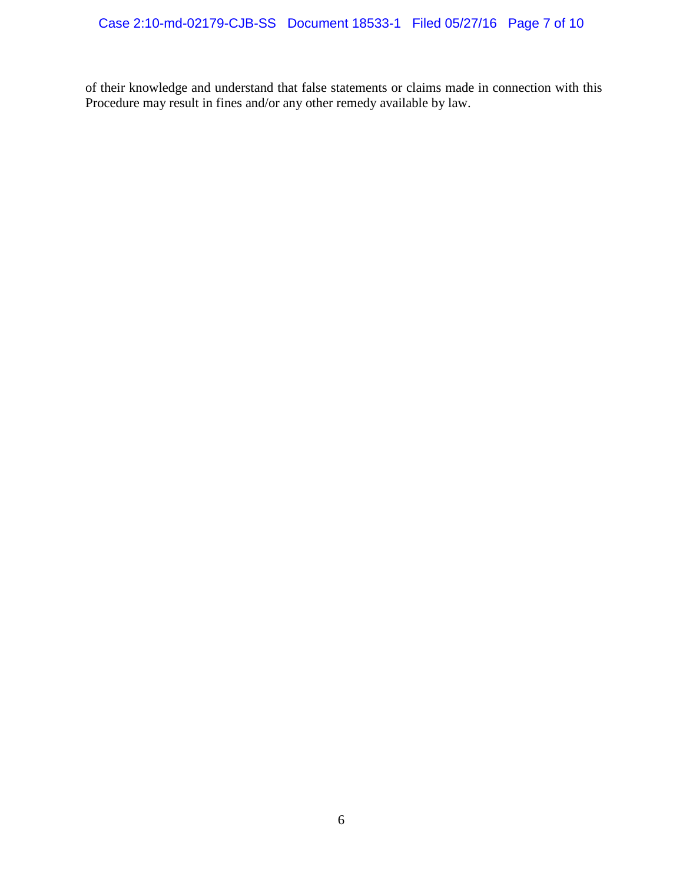of their knowledge and understand that false statements or claims made in connection with this Procedure may result in fines and/or any other remedy available by law.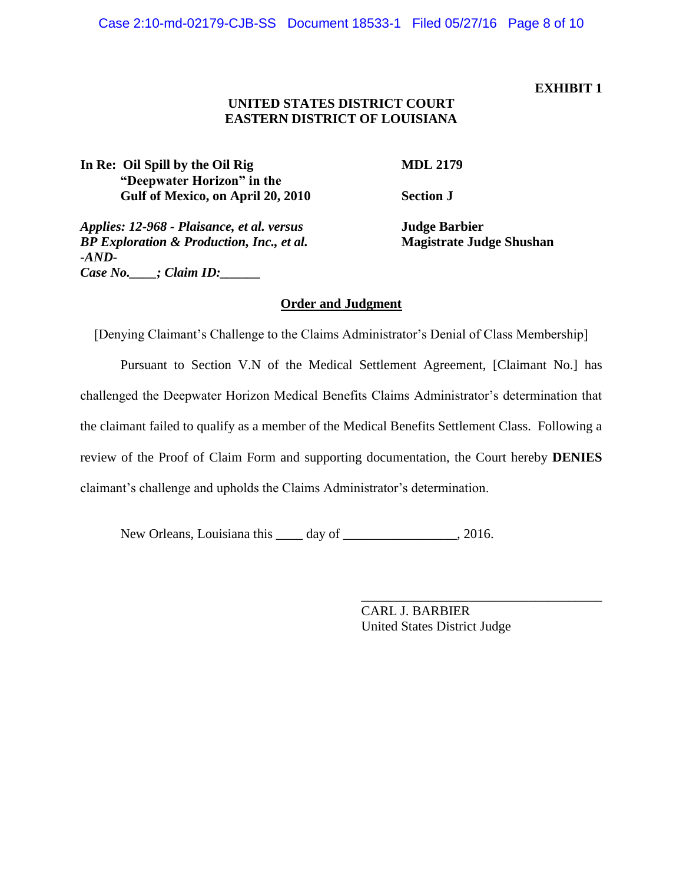## **EXHIBIT 1**

# **UNITED STATES DISTRICT COURT EASTERN DISTRICT OF LOUISIANA**

In Re: Oil Spill by the Oil Rig **MDL 2179 "Deepwater Horizon" in the Gulf of Mexico, on April 20, 2010 Section J**

*Applies: 12-968 - Plaisance, et al. versus* **Judge Barbier** *BP Exploration & Production, Inc., et al.* **Magistrate Judge Shushan** *-AND-Case No.\_\_\_\_; Claim ID:\_\_\_\_\_\_*

# **Order and Judgment**

[Denying Claimant's Challenge to the Claims Administrator's Denial of Class Membership]

Pursuant to Section V.N of the Medical Settlement Agreement, [Claimant No.] has challenged the Deepwater Horizon Medical Benefits Claims Administrator's determination that the claimant failed to qualify as a member of the Medical Benefits Settlement Class. Following a review of the Proof of Claim Form and supporting documentation, the Court hereby **DENIES** claimant's challenge and upholds the Claims Administrator's determination.

New Orleans, Louisiana this day of the case of the case of the case of the case of  $\alpha$ .

CARL J. BARBIER United States District Judge

\_\_\_\_\_\_\_\_\_\_\_\_\_\_\_\_\_\_\_\_\_\_\_\_\_\_\_\_\_\_\_\_\_\_\_\_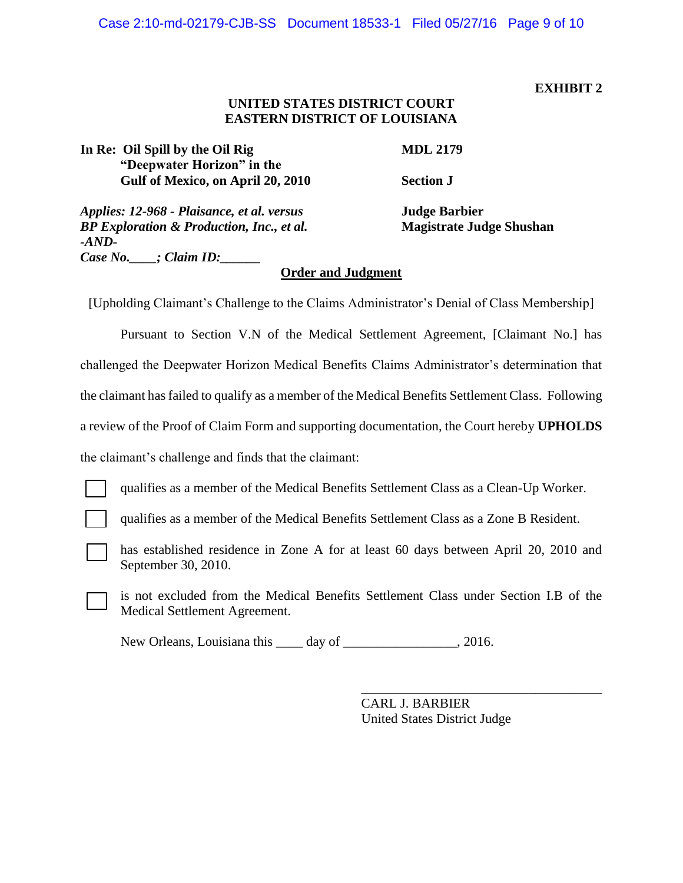#### **EXHIBIT 2**

# **UNITED STATES DISTRICT COURT EASTERN DISTRICT OF LOUISIANA**

In Re: Oil Spill by the Oil Rig **MDL 2179 "Deepwater Horizon" in the Gulf of Mexico, on April 20, 2010 Section J**

*Applies: 12-968 - Plaisance, et al. versus* **Judge Barbier** *BP Exploration & Production, Inc., et al.* **Magistrate Judge Shushan** *-AND-Case No.\_\_\_\_; Claim ID:\_\_\_\_\_\_*

# **Order and Judgment**

[Upholding Claimant's Challenge to the Claims Administrator's Denial of Class Membership]

Pursuant to Section V.N of the Medical Settlement Agreement, [Claimant No.] has challenged the Deepwater Horizon Medical Benefits Claims Administrator's determination that the claimant has failed to qualify as a member of the Medical Benefits Settlement Class. Following a review of the Proof of Claim Form and supporting documentation, the Court hereby **UPHOLDS**  the claimant's challenge and finds that the claimant:

qualifies as a member of the Medical Benefits Settlement Class as a Clean-Up Worker.

qualifies as a member of the Medical Benefits Settlement Class as a Zone B Resident.

has established residence in Zone A for at least 60 days between April 20, 2010 and September 30, 2010.

is not excluded from the Medical Benefits Settlement Class under Section I.B of the Medical Settlement Agreement.

New Orleans, Louisiana this \_\_\_\_ day of \_\_\_\_\_\_\_\_\_\_\_\_\_\_\_\_, 2016.

CARL J. BARBIER United States District Judge

\_\_\_\_\_\_\_\_\_\_\_\_\_\_\_\_\_\_\_\_\_\_\_\_\_\_\_\_\_\_\_\_\_\_\_\_